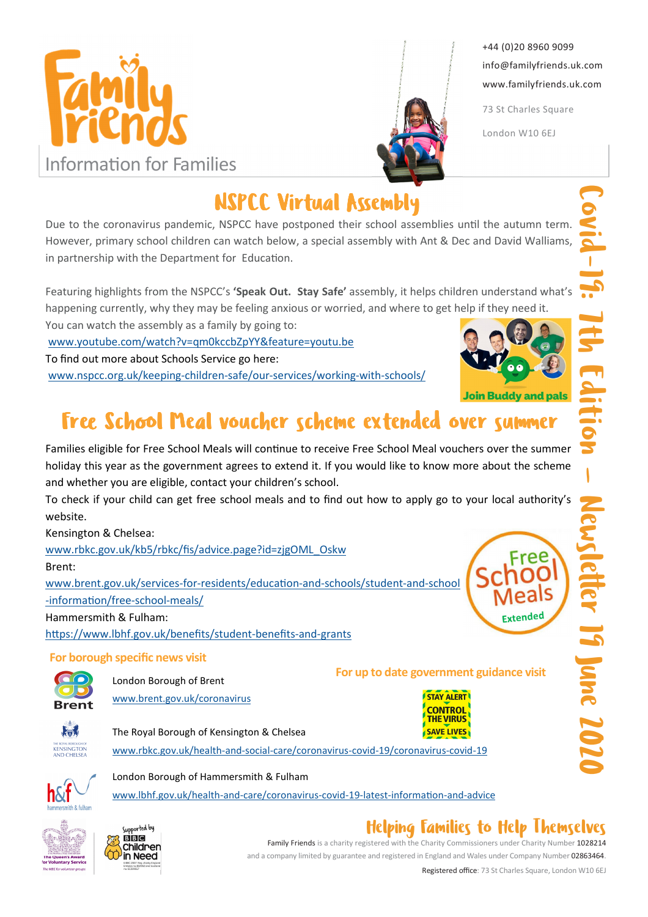



+44 (0)20 8960 9099 info@familyfriends.uk.com www.familyfriends.uk.com

73 St Charles Square

London W10 6EJ

NSPCC Virtual Assembly

Due to the coronavirus pandemic, NSPCC have postponed their school assemblies until the autumn term. However, primary school children can watch below, a special assembly with Ant & Dec and David Walliams, in partnership with the Department for Education.

Featuring highlights from the NSPCC's 'Speak Out. Stay Safe' assembly, it helps children understand what's happening currently, why they may be feeling anxious or worried, and where to get help if they need it. 

You can watch the assembly as a family by going to: www.youtube.com/watch?v=qm0kccbZpYY&feature=youtu.be

To find out more about Schools Service go here:

www.nspcc.org.uk/keeping-children-safe/our-services/working-with-schools/



# Free School Meal voucher scheme extended over summer

Families eligible for Free School Meals will continue to receive Free School Meal vouchers over the summer holiday this year as the government agrees to extend it. If you would like to know more about the scheme and whether you are eligible, contact your children's school.

To check if your child can get free school meals and to find out how to apply go to your local authority's website.

Kensington & Chelsea:

www.rbkc.gov.uk/kb5/rbkc/fis/advice.page?id=zjgOML\_Oskw

Brent:

www.brent.gov.uk/services-for-residents/education-and-schools/student-and-school -information/free-school-meals/

Hammersmith & Fulham:

https://www.lbhf.gov.uk/benefits/student-benefits-and-grants

#### For borough specific news visit



London Borough of Brent www.brent.gov.uk/coronavirus For up to date government guidance visit



ket KENSINGTON

The Royal Borough of Kensington & Chelsea www.rbkc.gov.uk/health-and-social-care/coronavirus-covid-19/coronavirus-covid-19



### London Borough of Hammersmith & Fulham

www.lbhf.gov.uk/health-and-care/coronavirus-covid-19-latest-information-and-advice



#### Supported by **BBC Children** in Need

# Helping Families to Help Themselves

Family Friends is a charity registered with the Charity Commissioners under Charity Number 1028214 and a company limited by guarantee and registered in England and Wales under Company Number 02863464.